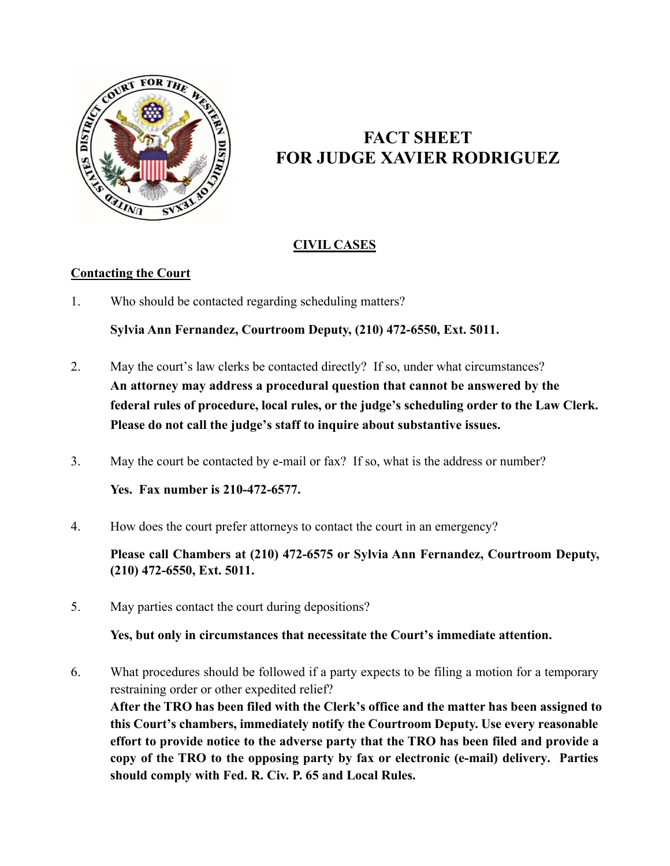

# **FACT SHEET FOR JUDGE XAVIER RODRIGUEZ**

# **CIVIL CASES**

## **Contacting the Court**

1. Who should be contacted regarding scheduling matters?

**Sylvia Ann Fernandez, Courtroom Deputy, (210) 472-6550, Ext. 5011.**

- 2. May the court's law clerks be contacted directly? If so, under what circumstances? **An attorney may address a procedural question that cannot be answered by the federal rules of procedure, local rules, or the judge's scheduling order to the Law Clerk. Please do not call the judge's staff to inquire about substantive issues.**
- 3. May the court be contacted by e-mail or fax? If so, what is the address or number?

**Yes. Fax number is 210-472-6577.**

4. How does the court prefer attorneys to contact the court in an emergency?

**Please call Chambers at (210) 472-6575 or Sylvia Ann Fernandez, Courtroom Deputy, (210) 472-6550, Ext. 5011.**

5. May parties contact the court during depositions?

**Yes, but only in circumstances that necessitate the Court's immediate attention.**

6. What procedures should be followed if a party expects to be filing a motion for a temporary restraining order or other expedited relief? **After the TRO has been filed with the Clerk's office and the matter has been assigned to this Court's chambers, immediately notify the Courtroom Deputy. Use every reasonable effort to provide notice to the adverse party that the TRO has been filed and provide a copy of the TRO to the opposing party by fax or electronic (e-mail) delivery. Parties should comply with Fed. R. Civ. P. 65 and Local Rules.**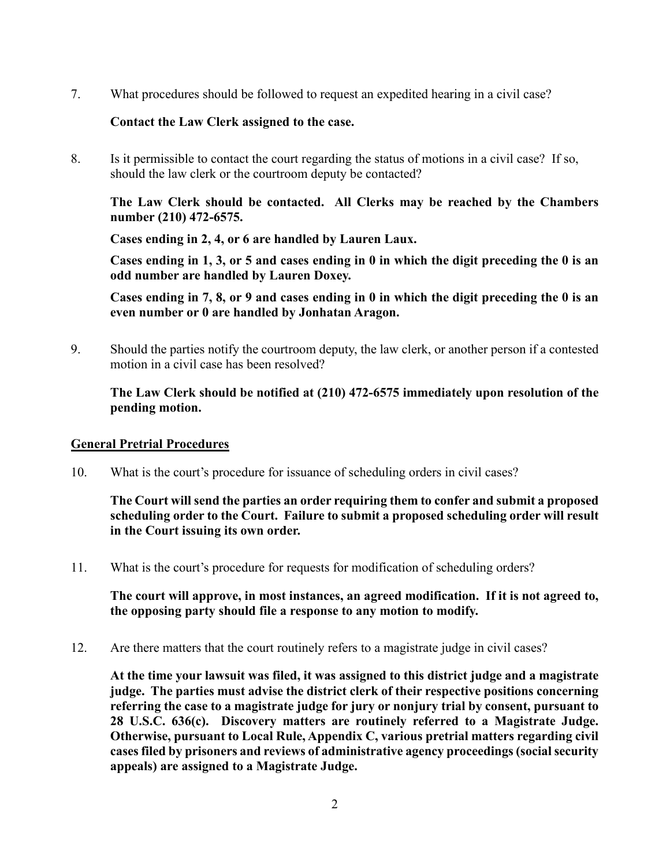7. What procedures should be followed to request an expedited hearing in a civil case?

## **Contact the Law Clerk assigned to the case.**

8. Is it permissible to contact the court regarding the status of motions in a civil case? If so, should the law clerk or the courtroom deputy be contacted?

**The Law Clerk should be contacted. All Clerks may be reached by the Chambers number (210) 472-6575.**

**Cases ending in 2, 4, or 6 are handled by Lauren Laux.**

**Cases ending in 1, 3, or 5 and cases ending in 0 in which the digit preceding the 0 is an odd number are handled by Lauren Doxey.**

**Cases ending in 7, 8, or 9 and cases ending in 0 in which the digit preceding the 0 is an even number or 0 are handled by Jonhatan Aragon.**

9. Should the parties notify the courtroom deputy, the law clerk, or another person if a contested motion in a civil case has been resolved?

## **The Law Clerk should be notified at (210) 472-6575 immediately upon resolution of the pending motion.**

#### **General Pretrial Procedures**

10. What is the court's procedure for issuance of scheduling orders in civil cases?

**The Court will send the parties an order requiring them to confer and submit a proposed scheduling order to the Court. Failure to submit a proposed scheduling order will result in the Court issuing its own order.**

11. What is the court's procedure for requests for modification of scheduling orders?

**The court will approve, in most instances, an agreed modification. If it is not agreed to, the opposing party should file a response to any motion to modify.**

12. Are there matters that the court routinely refers to a magistrate judge in civil cases?

**At the time your lawsuit was filed, it was assigned to this district judge and a magistrate judge. The parties must advise the district clerk of their respective positions concerning referring the case to a magistrate judge for jury or nonjury trial by consent, pursuant to 28 U.S.C. 636(c). Discovery matters are routinely referred to a Magistrate Judge. Otherwise, pursuant to Local Rule, Appendix C, various pretrial matters regarding civil cases filed by prisoners and reviews of administrative agency proceedings (social security appeals) are assigned to a Magistrate Judge.**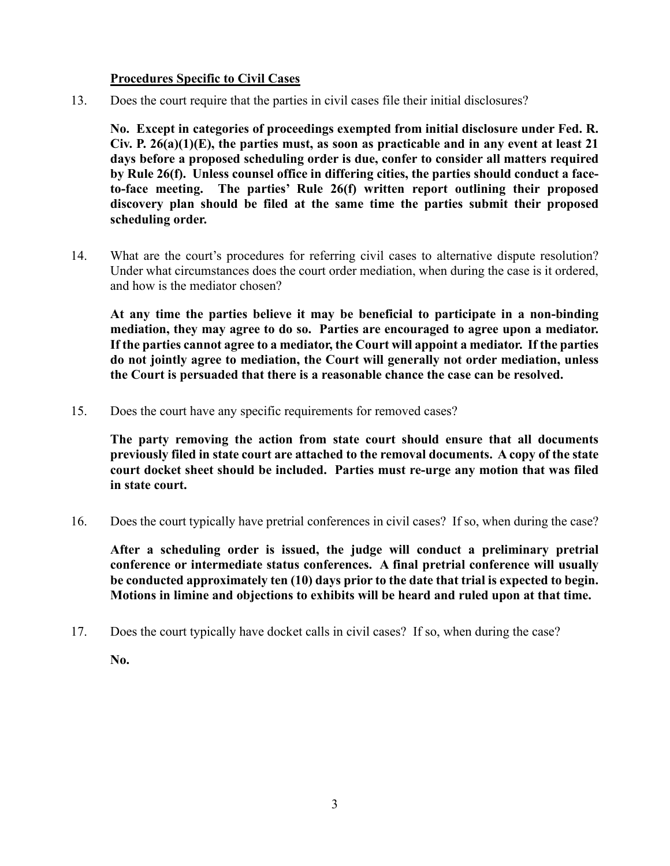## **Procedures Specific to Civil Cases**

13. Does the court require that the parties in civil cases file their initial disclosures?

**No. Except in categories of proceedings exempted from initial disclosure under Fed. R. Civ. P. 26(a)(1)(E), the parties must, as soon as practicable and in any event at least 21 days before a proposed scheduling order is due, confer to consider all matters required by Rule 26(f). Unless counsel office in differing cities, the parties should conduct a faceto-face meeting. The parties' Rule 26(f) written report outlining their proposed discovery plan should be filed at the same time the parties submit their proposed scheduling order.**

14. What are the court's procedures for referring civil cases to alternative dispute resolution? Under what circumstances does the court order mediation, when during the case is it ordered, and how is the mediator chosen?

**At any time the parties believe it may be beneficial to participate in a non-binding mediation, they may agree to do so. Parties are encouraged to agree upon a mediator. If the parties cannot agree to a mediator, the Court will appoint a mediator. If the parties do not jointly agree to mediation, the Court will generally not order mediation, unless the Court is persuaded that there is a reasonable chance the case can be resolved.**

15. Does the court have any specific requirements for removed cases?

**The party removing the action from state court should ensure that all documents previously filed in state court are attached to the removal documents. A copy of the state court docket sheet should be included. Parties must re-urge any motion that was filed in state court.**

16. Does the court typically have pretrial conferences in civil cases? If so, when during the case?

**After a scheduling order is issued, the judge will conduct a preliminary pretrial conference or intermediate status conferences. A final pretrial conference will usually be conducted approximately ten (10) days prior to the date that trial is expected to begin. Motions in limine and objections to exhibits will be heard and ruled upon at that time.**

17. Does the court typically have docket calls in civil cases? If so, when during the case?

**No.**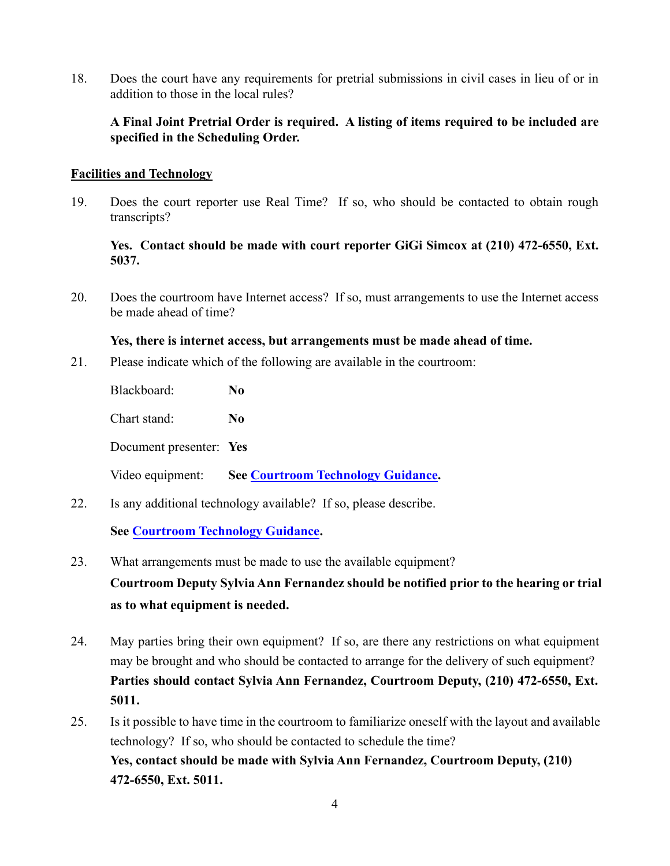18. Does the court have any requirements for pretrial submissions in civil cases in lieu of or in addition to those in the local rules?

## **A Final Joint Pretrial Order is required. A listing of items required to be included are specified in the Scheduling Order.**

#### **Facilities and Technology**

19. Does the court reporter use Real Time? If so, who should be contacted to obtain rough transcripts?

## **Yes. Contact should be made with court reporter GiGi Simcox at (210) 472-6550, Ext. 5037.**

20. Does the courtroom have Internet access? If so, must arrangements to use the Internet access be made ahead of time?

## **Yes, there is internet access, but arrangements must be made ahead of time.**

21. Please indicate which of the following are available in the courtroom:

Blackboard: **No**

Chart stand: **No**

Document presenter: **Yes**

Video equipment: **See [Courtroom Technology Guidance.](https://www.txwd.uscourts.gov/san-antonio-courthouse-courtroom-technology/)** 

22. Is any additional technology available? If so, please describe.

## **Se[e Courtroom Technology Guidance.](https://www.txwd.uscourts.gov/san-antonio-courthouse-courtroom-technology/)**

- 23. What arrangements must be made to use the available equipment? **Courtroom Deputy Sylvia Ann Fernandez should be notified prior to the hearing or trial as to what equipment is needed.**
- 24. May parties bring their own equipment? If so, are there any restrictions on what equipment may be brought and who should be contacted to arrange for the delivery of such equipment? **Parties should contact Sylvia Ann Fernandez, Courtroom Deputy, (210) 472-6550, Ext. 5011.**
- 25. Is it possible to have time in the courtroom to familiarize oneself with the layout and available technology? If so, who should be contacted to schedule the time? **Yes, contact should be made with Sylvia Ann Fernandez, Courtroom Deputy, (210) 472-6550, Ext. 5011.**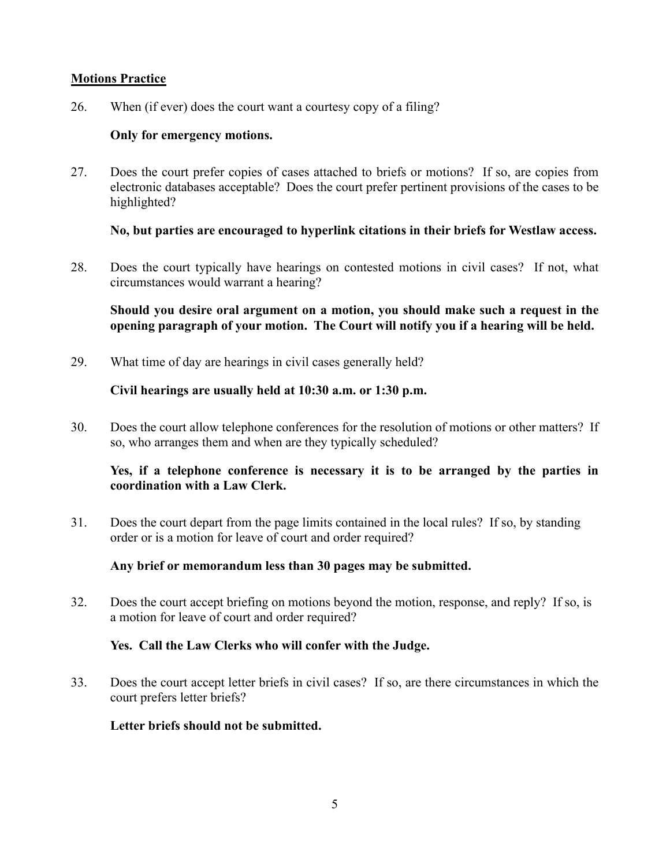#### **Motions Practice**

26. When (if ever) does the court want a courtesy copy of a filing?

## **Only for emergency motions.**

27. Does the court prefer copies of cases attached to briefs or motions? If so, are copies from electronic databases acceptable? Does the court prefer pertinent provisions of the cases to be highlighted?

## **No, but parties are encouraged to hyperlink citations in their briefs for Westlaw access.**

28. Does the court typically have hearings on contested motions in civil cases? If not, what circumstances would warrant a hearing?

**Should you desire oral argument on a motion, you should make such a request in the opening paragraph of your motion. The Court will notify you if a hearing will be held.**

29. What time of day are hearings in civil cases generally held?

## **Civil hearings are usually held at 10:30 a.m. or 1:30 p.m.**

30. Does the court allow telephone conferences for the resolution of motions or other matters? If so, who arranges them and when are they typically scheduled?

## **Yes, if a telephone conference is necessary it is to be arranged by the parties in coordination with a Law Clerk.**

31. Does the court depart from the page limits contained in the local rules? If so, by standing order or is a motion for leave of court and order required?

#### **Any brief or memorandum less than 30 pages may be submitted.**

32. Does the court accept briefing on motions beyond the motion, response, and reply? If so, is a motion for leave of court and order required?

#### **Yes. Call the Law Clerks who will confer with the Judge.**

33. Does the court accept letter briefs in civil cases? If so, are there circumstances in which the court prefers letter briefs?

#### **Letter briefs should not be submitted.**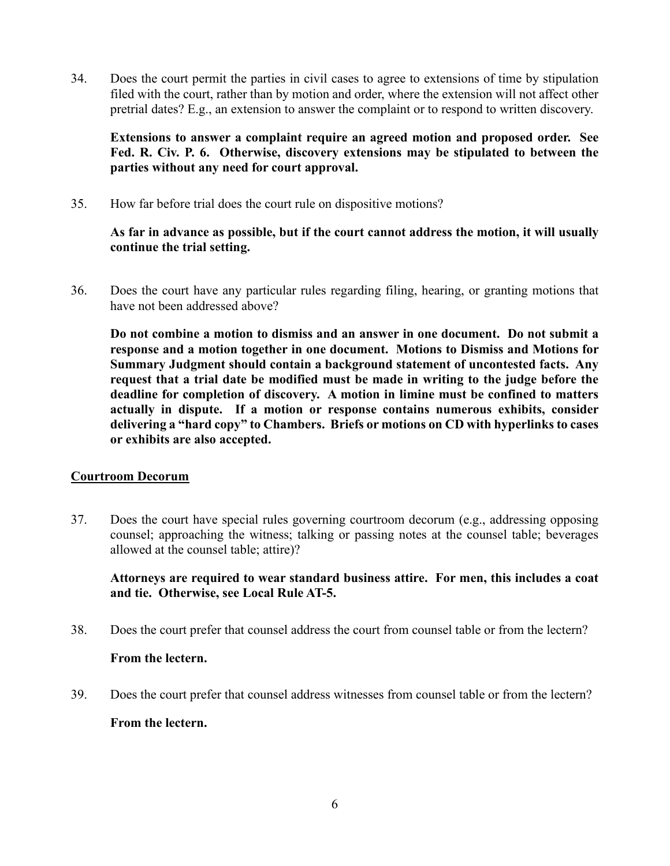34. Does the court permit the parties in civil cases to agree to extensions of time by stipulation filed with the court, rather than by motion and order, where the extension will not affect other pretrial dates? E.g., an extension to answer the complaint or to respond to written discovery.

## **Extensions to answer a complaint require an agreed motion and proposed order. See Fed. R. Civ. P. 6. Otherwise, discovery extensions may be stipulated to between the parties without any need for court approval.**

35. How far before trial does the court rule on dispositive motions?

## **As far in advance as possible, but if the court cannot address the motion, it will usually continue the trial setting.**

36. Does the court have any particular rules regarding filing, hearing, or granting motions that have not been addressed above?

**Do not combine a motion to dismiss and an answer in one document. Do not submit a response and a motion together in one document. Motions to Dismiss and Motions for Summary Judgment should contain a background statement of uncontested facts. Any request that a trial date be modified must be made in writing to the judge before the deadline for completion of discovery. A motion in limine must be confined to matters actually in dispute. If a motion or response contains numerous exhibits, consider delivering a "hard copy" to Chambers. Briefs or motions on CD with hyperlinks to cases or exhibits are also accepted.**

## **Courtroom Decorum**

37. Does the court have special rules governing courtroom decorum (e.g., addressing opposing counsel; approaching the witness; talking or passing notes at the counsel table; beverages allowed at the counsel table; attire)?

## **Attorneys are required to wear standard business attire. For men, this includes a coat and tie. Otherwise, see Local Rule AT-5.**

38. Does the court prefer that counsel address the court from counsel table or from the lectern?

## **From the lectern.**

39. Does the court prefer that counsel address witnesses from counsel table or from the lectern?

## **From the lectern.**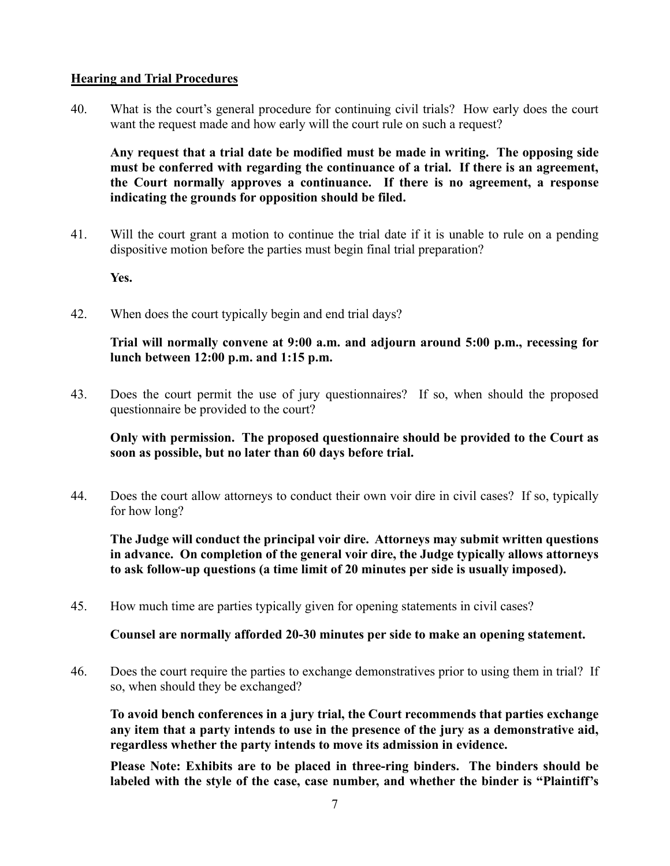#### **Hearing and Trial Procedures**

40. What is the court's general procedure for continuing civil trials? How early does the court want the request made and how early will the court rule on such a request?

**Any request that a trial date be modified must be made in writing. The opposing side must be conferred with regarding the continuance of a trial. If there is an agreement, the Court normally approves a continuance. If there is no agreement, a response indicating the grounds for opposition should be filed.**

41. Will the court grant a motion to continue the trial date if it is unable to rule on a pending dispositive motion before the parties must begin final trial preparation?

**Yes.**

42. When does the court typically begin and end trial days?

## **Trial will normally convene at 9:00 a.m. and adjourn around 5:00 p.m., recessing for lunch between 12:00 p.m. and 1:15 p.m.**

43. Does the court permit the use of jury questionnaires? If so, when should the proposed questionnaire be provided to the court?

**Only with permission. The proposed questionnaire should be provided to the Court as soon as possible, but no later than 60 days before trial.**

44. Does the court allow attorneys to conduct their own voir dire in civil cases? If so, typically for how long?

**The Judge will conduct the principal voir dire. Attorneys may submit written questions in advance. On completion of the general voir dire, the Judge typically allows attorneys to ask follow-up questions (a time limit of 20 minutes per side is usually imposed).**

45. How much time are parties typically given for opening statements in civil cases?

**Counsel are normally afforded 20-30 minutes per side to make an opening statement.**

46. Does the court require the parties to exchange demonstratives prior to using them in trial? If so, when should they be exchanged?

**To avoid bench conferences in a jury trial, the Court recommends that parties exchange any item that a party intends to use in the presence of the jury as a demonstrative aid, regardless whether the party intends to move its admission in evidence.**

**Please Note: Exhibits are to be placed in three-ring binders. The binders should be labeled with the style of the case, case number, and whether the binder is "Plaintiff's**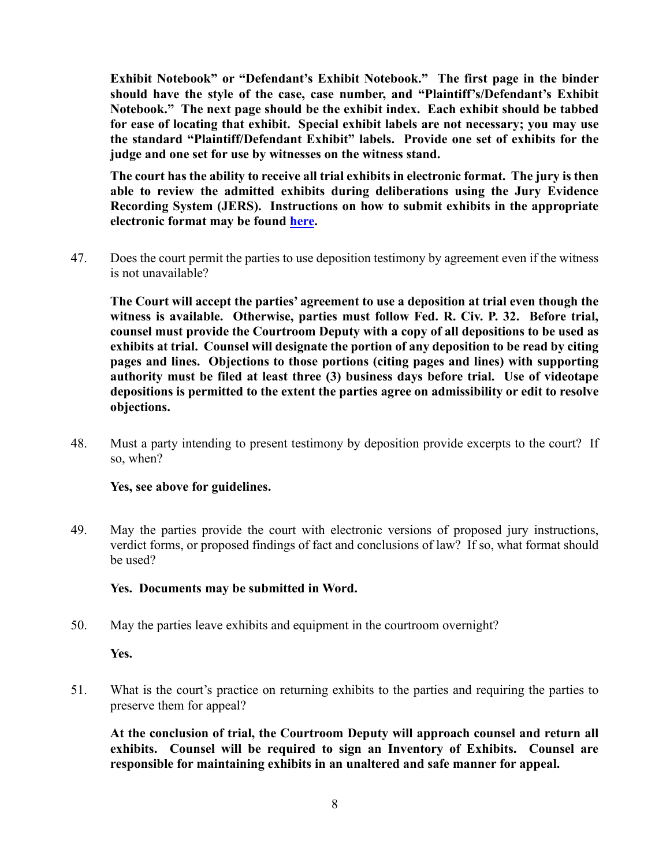**Exhibit Notebook" or "Defendant's Exhibit Notebook." The first page in the binder should have the style of the case, case number, and "Plaintiff's/Defendant's Exhibit Notebook." The next page should be the exhibit index. Each exhibit should be tabbed for ease of locating that exhibit. Special exhibit labels are not necessary; you may use the standard "Plaintiff/Defendant Exhibit" labels. Provide one set of exhibits for the judge and one set for use by witnesses on the witness stand.**

**The court has the ability to receive all trial exhibits in electronic format. The jury is then able to review the admitted exhibits during deliberations using the Jury Evidence Recording System (JERS). Instructions on how to submit exhibits in the appropriate electronic format may be found [here.](https://www.txwd.uscourts.gov/for-attorneys/jers-jury-evidence-recording-system/index.html)** 

47. Does the court permit the parties to use deposition testimony by agreement even if the witness is not unavailable?

**The Court will accept the parties' agreement to use a deposition at trial even though the witness is available. Otherwise, parties must follow Fed. R. Civ. P. 32. Before trial, counsel must provide the Courtroom Deputy with a copy of all depositions to be used as exhibits at trial. Counsel will designate the portion of any deposition to be read by citing pages and lines. Objections to those portions (citing pages and lines) with supporting authority must be filed at least three (3) business days before trial. Use of videotape depositions is permitted to the extent the parties agree on admissibility or edit to resolve objections.**

48. Must a party intending to present testimony by deposition provide excerpts to the court? If so, when?

## **Yes, see above for guidelines.**

49. May the parties provide the court with electronic versions of proposed jury instructions, verdict forms, or proposed findings of fact and conclusions of law? If so, what format should be used?

#### **Yes. Documents may be submitted in Word.**

50. May the parties leave exhibits and equipment in the courtroom overnight?

#### **Yes.**

51. What is the court's practice on returning exhibits to the parties and requiring the parties to preserve them for appeal?

**At the conclusion of trial, the Courtroom Deputy will approach counsel and return all exhibits. Counsel will be required to sign an Inventory of Exhibits. Counsel are responsible for maintaining exhibits in an unaltered and safe manner for appeal.**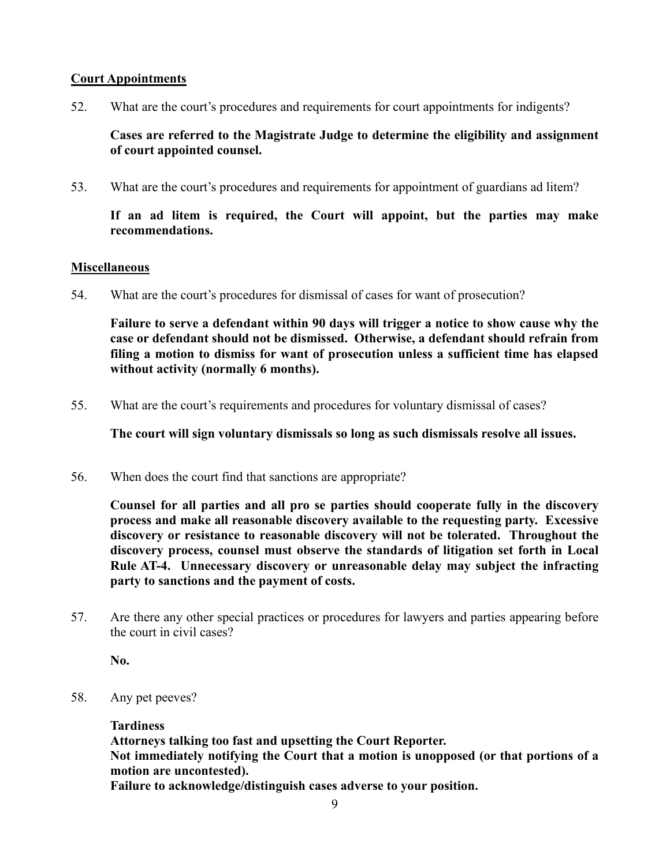## **Court Appointments**

52. What are the court's procedures and requirements for court appointments for indigents?

**Cases are referred to the Magistrate Judge to determine the eligibility and assignment of court appointed counsel.**

53. What are the court's procedures and requirements for appointment of guardians ad litem?

**If an ad litem is required, the Court will appoint, but the parties may make recommendations.**

#### **Miscellaneous**

54. What are the court's procedures for dismissal of cases for want of prosecution?

**Failure to serve a defendant within 90 days will trigger a notice to show cause why the case or defendant should not be dismissed. Otherwise, a defendant should refrain from filing a motion to dismiss for want of prosecution unless a sufficient time has elapsed without activity (normally 6 months).**

55. What are the court's requirements and procedures for voluntary dismissal of cases?

**The court will sign voluntary dismissals so long as such dismissals resolve all issues.**

56. When does the court find that sanctions are appropriate?

**Counsel for all parties and all pro se parties should cooperate fully in the discovery process and make all reasonable discovery available to the requesting party. Excessive discovery or resistance to reasonable discovery will not be tolerated. Throughout the discovery process, counsel must observe the standards of litigation set forth in Local Rule AT-4. Unnecessary discovery or unreasonable delay may subject the infracting party to sanctions and the payment of costs.**

57. Are there any other special practices or procedures for lawyers and parties appearing before the court in civil cases?

**No.**

58. Any pet peeves?

#### **Tardiness**

**Attorneys talking too fast and upsetting the Court Reporter. Not immediately notifying the Court that a motion is unopposed (or that portions of a motion are uncontested).**

**Failure to acknowledge/distinguish cases adverse to your position.**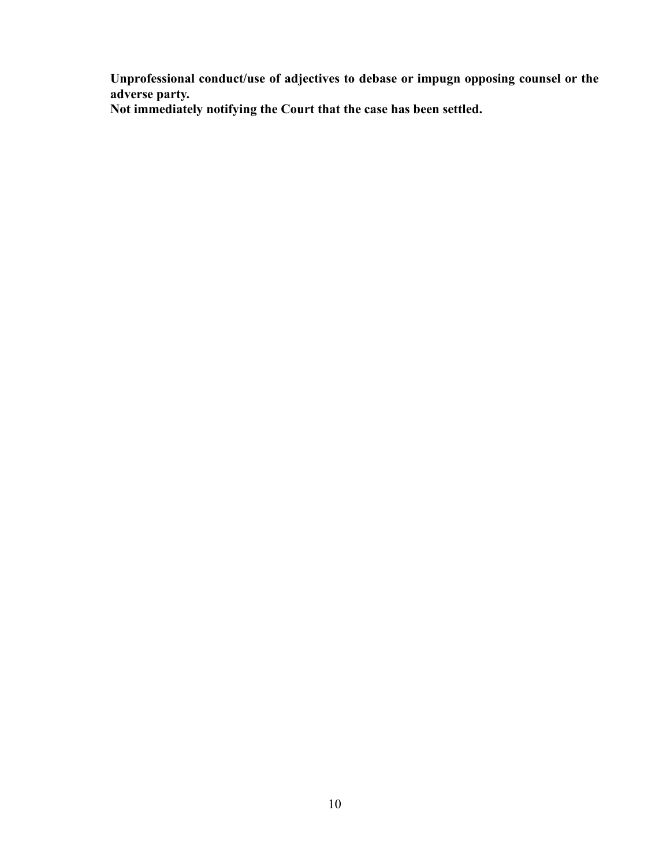**Unprofessional conduct/use of adjectives to debase or impugn opposing counsel or the adverse party.**

**Not immediately notifying the Court that the case has been settled.**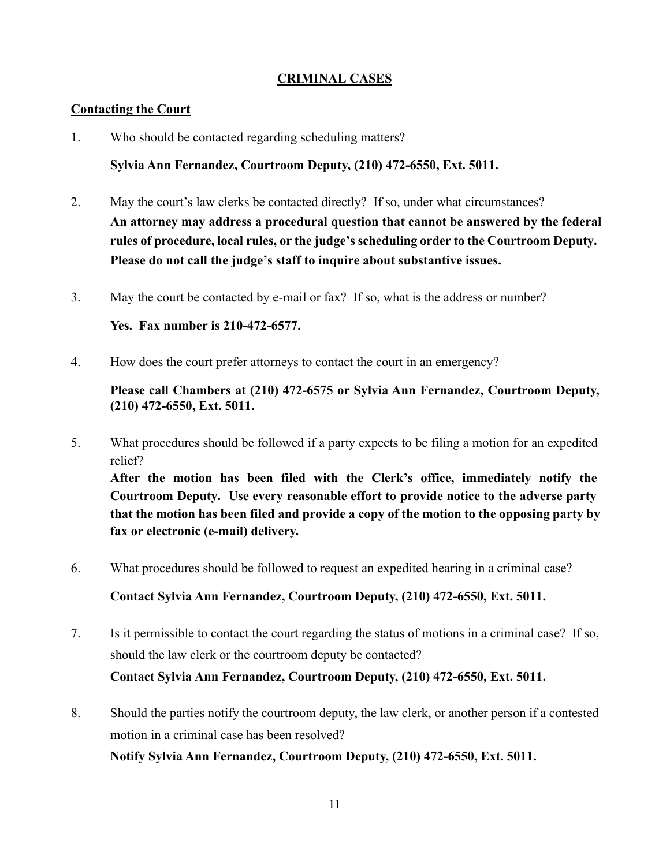## **CRIMINAL CASES**

#### **Contacting the Court**

1. Who should be contacted regarding scheduling matters?

**Sylvia Ann Fernandez, Courtroom Deputy, (210) 472-6550, Ext. 5011.**

- 2. May the court's law clerks be contacted directly? If so, under what circumstances? **An attorney may address a procedural question that cannot be answered by the federal rules of procedure, local rules, or the judge's scheduling order to the Courtroom Deputy. Please do not call the judge's staff to inquire about substantive issues.**
- 3. May the court be contacted by e-mail or fax? If so, what is the address or number?

**Yes. Fax number is 210-472-6577.**

4. How does the court prefer attorneys to contact the court in an emergency?

**Please call Chambers at (210) 472-6575 or Sylvia Ann Fernandez, Courtroom Deputy, (210) 472-6550, Ext. 5011.**

- 5. What procedures should be followed if a party expects to be filing a motion for an expedited relief? **After the motion has been filed with the Clerk's office, immediately notify the Courtroom Deputy. Use every reasonable effort to provide notice to the adverse party that the motion has been filed and provide a copy of the motion to the opposing party by fax or electronic (e-mail) delivery.**
- 6. What procedures should be followed to request an expedited hearing in a criminal case?

**Contact Sylvia Ann Fernandez, Courtroom Deputy, (210) 472-6550, Ext. 5011.**

- 7. Is it permissible to contact the court regarding the status of motions in a criminal case? If so, should the law clerk or the courtroom deputy be contacted? **Contact Sylvia Ann Fernandez, Courtroom Deputy, (210) 472-6550, Ext. 5011.**
- 8. Should the parties notify the courtroom deputy, the law clerk, or another person if a contested motion in a criminal case has been resolved?

**Notify Sylvia Ann Fernandez, Courtroom Deputy, (210) 472-6550, Ext. 5011.**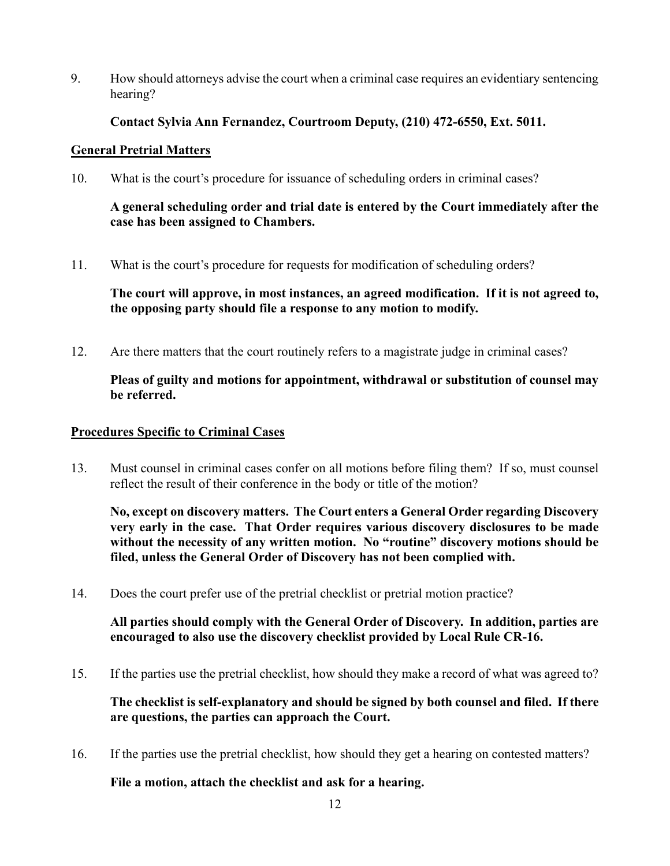9. How should attorneys advise the court when a criminal case requires an evidentiary sentencing hearing?

## **Contact Sylvia Ann Fernandez, Courtroom Deputy, (210) 472-6550, Ext. 5011.**

## **General Pretrial Matters**

10. What is the court's procedure for issuance of scheduling orders in criminal cases?

## **A general scheduling order and trial date is entered by the Court immediately after the case has been assigned to Chambers.**

11. What is the court's procedure for requests for modification of scheduling orders?

**The court will approve, in most instances, an agreed modification. If it is not agreed to, the opposing party should file a response to any motion to modify.**

12. Are there matters that the court routinely refers to a magistrate judge in criminal cases?

## **Pleas of guilty and motions for appointment, withdrawal or substitution of counsel may be referred.**

## **Procedures Specific to Criminal Cases**

13. Must counsel in criminal cases confer on all motions before filing them? If so, must counsel reflect the result of their conference in the body or title of the motion?

**No, except on discovery matters. The Court enters a General Order regarding Discovery very early in the case. That Order requires various discovery disclosures to be made without the necessity of any written motion. No "routine" discovery motions should be filed, unless the General Order of Discovery has not been complied with.**

14. Does the court prefer use of the pretrial checklist or pretrial motion practice?

**All parties should comply with the General Order of Discovery. In addition, parties are encouraged to also use the discovery checklist provided by Local Rule CR-16.**

15. If the parties use the pretrial checklist, how should they make a record of what was agreed to?

**The checklist is self-explanatory and should be signed by both counsel and filed. If there are questions, the parties can approach the Court.**

16. If the parties use the pretrial checklist, how should they get a hearing on contested matters?

#### **File a motion, attach the checklist and ask for a hearing.**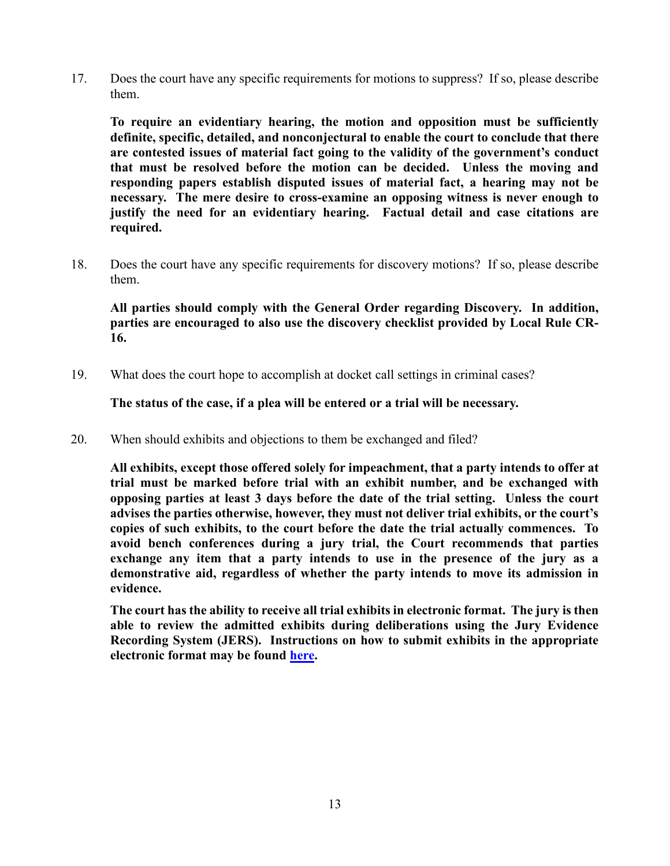17. Does the court have any specific requirements for motions to suppress? If so, please describe them.

**To require an evidentiary hearing, the motion and opposition must be sufficiently definite, specific, detailed, and nonconjectural to enable the court to conclude that there are contested issues of material fact going to the validity of the government's conduct that must be resolved before the motion can be decided. Unless the moving and responding papers establish disputed issues of material fact, a hearing may not be necessary. The mere desire to cross-examine an opposing witness is never enough to justify the need for an evidentiary hearing. Factual detail and case citations are required.**

18. Does the court have any specific requirements for discovery motions? If so, please describe them.

**All parties should comply with the General Order regarding Discovery. In addition, parties are encouraged to also use the discovery checklist provided by Local Rule CR-16.**

19. What does the court hope to accomplish at docket call settings in criminal cases?

**The status of the case, if a plea will be entered or a trial will be necessary.**

20. When should exhibits and objections to them be exchanged and filed?

**All exhibits, except those offered solely for impeachment, that a party intends to offer at trial must be marked before trial with an exhibit number, and be exchanged with opposing parties at least 3 days before the date of the trial setting. Unless the court advises the parties otherwise, however, they must not deliver trial exhibits, or the court's copies of such exhibits, to the court before the date the trial actually commences. To avoid bench conferences during a jury trial, the Court recommends that parties exchange any item that a party intends to use in the presence of the jury as a demonstrative aid, regardless of whether the party intends to move its admission in evidence.**

**The court has the ability to receive all trial exhibits in electronic format. The jury is then able to review the admitted exhibits during deliberations using the Jury Evidence Recording System (JERS). Instructions on how to submit exhibits in the appropriate electronic format may be found [here.](https://www.txwd.uscourts.gov/for-attorneys/jers-jury-evidence-recording-system/index.html)**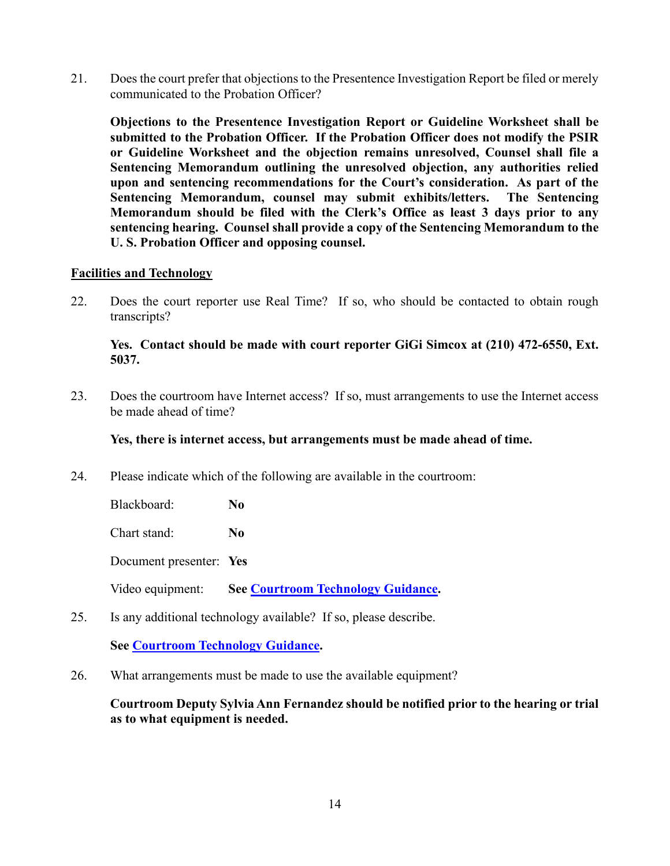21. Does the court prefer that objections to the Presentence Investigation Report be filed or merely communicated to the Probation Officer?

**Objections to the Presentence Investigation Report or Guideline Worksheet shall be submitted to the Probation Officer. If the Probation Officer does not modify the PSIR or Guideline Worksheet and the objection remains unresolved, Counsel shall file a Sentencing Memorandum outlining the unresolved objection, any authorities relied upon and sentencing recommendations for the Court's consideration. As part of the Sentencing Memorandum, counsel may submit exhibits/letters. The Sentencing Memorandum should be filed with the Clerk's Office as least 3 days prior to any sentencing hearing. Counsel shall provide a copy of the Sentencing Memorandum to the U. S. Probation Officer and opposing counsel.**

#### **Facilities and Technology**

22. Does the court reporter use Real Time? If so, who should be contacted to obtain rough transcripts?

#### **Yes. Contact should be made with court reporter GiGi Simcox at (210) 472-6550, Ext. 5037.**

23. Does the courtroom have Internet access? If so, must arrangements to use the Internet access be made ahead of time?

#### **Yes, there is internet access, but arrangements must be made ahead of time.**

24. Please indicate which of the following are available in the courtroom:

Blackboard: **No**

Chart stand: **No**

Document presenter: **Yes**

Video equipment: **See [Courtroom Technology Guidance.](https://www.txwd.uscourts.gov/san-antonio-courthouse-courtroom-technology/)** 

25. Is any additional technology available? If so, please describe.

## **See [Courtroom Technology Guidance.](https://www.txwd.uscourts.gov/san-antonio-courthouse-courtroom-technology/)**

26. What arrangements must be made to use the available equipment?

**Courtroom Deputy Sylvia Ann Fernandez should be notified prior to the hearing or trial as to what equipment is needed.**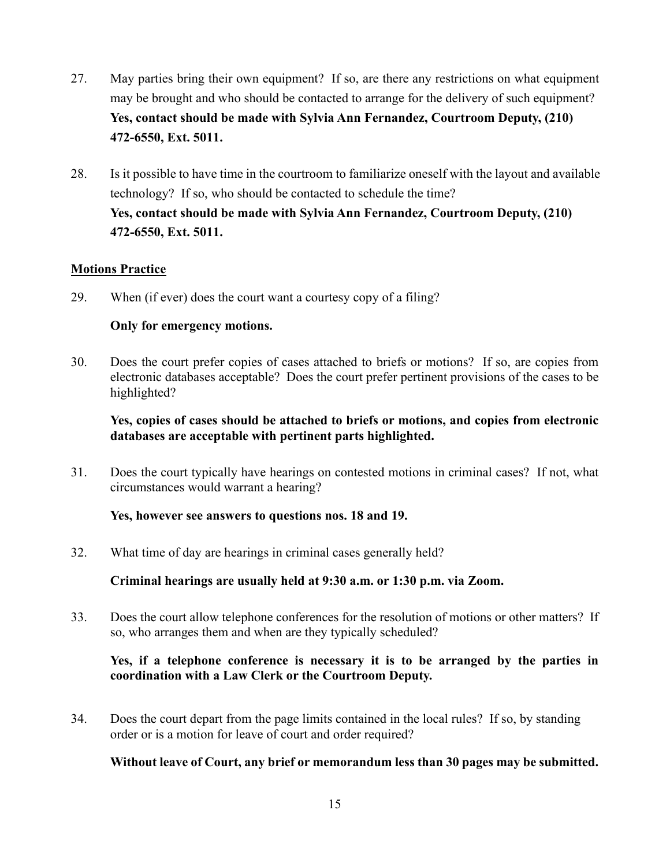- 27. May parties bring their own equipment? If so, are there any restrictions on what equipment may be brought and who should be contacted to arrange for the delivery of such equipment? **Yes, contact should be made with Sylvia Ann Fernandez, Courtroom Deputy, (210) 472-6550, Ext. 5011.**
- 28. Is it possible to have time in the courtroom to familiarize oneself with the layout and available technology? If so, who should be contacted to schedule the time? **Yes, contact should be made with Sylvia Ann Fernandez, Courtroom Deputy, (210) 472-6550, Ext. 5011.**

## **Motions Practice**

29. When (if ever) does the court want a courtesy copy of a filing?

#### **Only for emergency motions.**

30. Does the court prefer copies of cases attached to briefs or motions? If so, are copies from electronic databases acceptable? Does the court prefer pertinent provisions of the cases to be highlighted?

## **Yes, copies of cases should be attached to briefs or motions, and copies from electronic databases are acceptable with pertinent parts highlighted.**

31. Does the court typically have hearings on contested motions in criminal cases? If not, what circumstances would warrant a hearing?

#### **Yes, however see answers to questions nos. 18 and 19.**

32. What time of day are hearings in criminal cases generally held?

**Criminal hearings are usually held at 9:30 a.m. or 1:30 p.m. via Zoom.**

33. Does the court allow telephone conferences for the resolution of motions or other matters? If so, who arranges them and when are they typically scheduled?

## **Yes, if a telephone conference is necessary it is to be arranged by the parties in coordination with a Law Clerk or the Courtroom Deputy.**

34. Does the court depart from the page limits contained in the local rules? If so, by standing order or is a motion for leave of court and order required?

#### **Without leave of Court, any brief or memorandum less than 30 pages may be submitted.**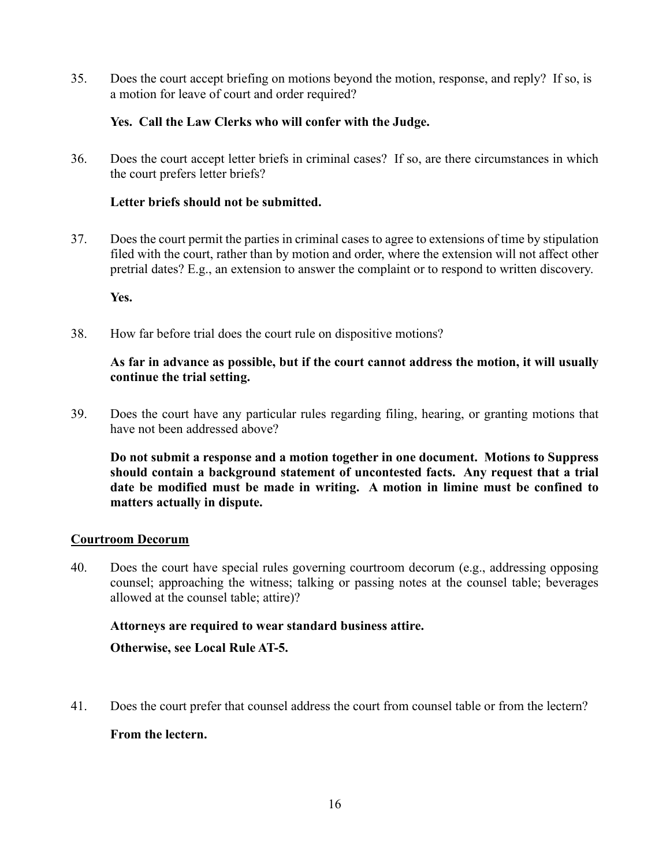35. Does the court accept briefing on motions beyond the motion, response, and reply? If so, is a motion for leave of court and order required?

## **Yes. Call the Law Clerks who will confer with the Judge.**

36. Does the court accept letter briefs in criminal cases? If so, are there circumstances in which the court prefers letter briefs?

## **Letter briefs should not be submitted.**

37. Does the court permit the parties in criminal cases to agree to extensions of time by stipulation filed with the court, rather than by motion and order, where the extension will not affect other pretrial dates? E.g., an extension to answer the complaint or to respond to written discovery.

**Yes.**

38. How far before trial does the court rule on dispositive motions?

## **As far in advance as possible, but if the court cannot address the motion, it will usually continue the trial setting.**

39. Does the court have any particular rules regarding filing, hearing, or granting motions that have not been addressed above?

**Do not submit a response and a motion together in one document. Motions to Suppress should contain a background statement of uncontested facts. Any request that a trial date be modified must be made in writing. A motion in limine must be confined to matters actually in dispute.**

#### **Courtroom Decorum**

40. Does the court have special rules governing courtroom decorum (e.g., addressing opposing counsel; approaching the witness; talking or passing notes at the counsel table; beverages allowed at the counsel table; attire)?

## **Attorneys are required to wear standard business attire.**

**Otherwise, see Local Rule AT-5.**

41. Does the court prefer that counsel address the court from counsel table or from the lectern?

## **From the lectern.**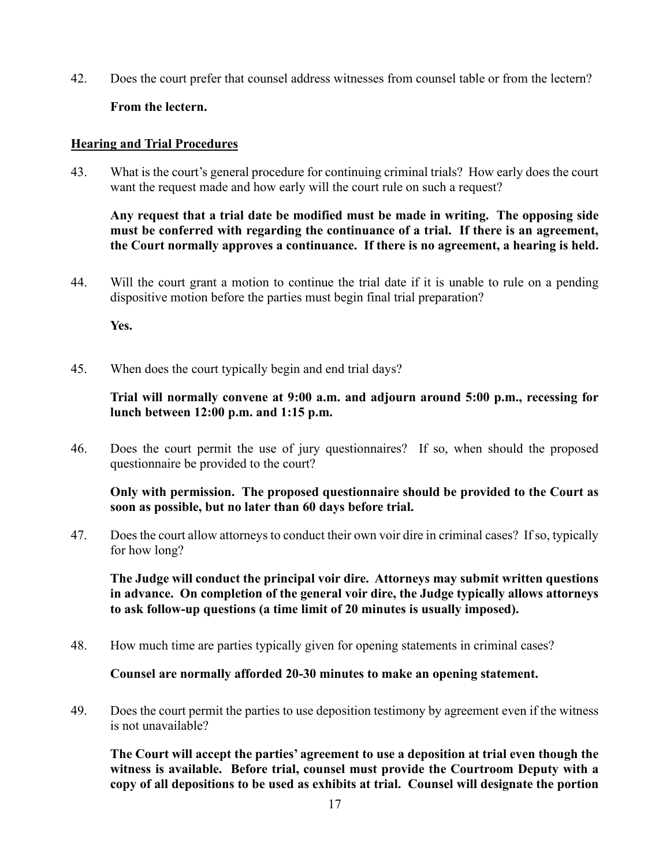42. Does the court prefer that counsel address witnesses from counsel table or from the lectern?

## **From the lectern.**

## **Hearing and Trial Procedures**

43. What is the court's general procedure for continuing criminal trials? How early does the court want the request made and how early will the court rule on such a request?

**Any request that a trial date be modified must be made in writing. The opposing side must be conferred with regarding the continuance of a trial. If there is an agreement, the Court normally approves a continuance. If there is no agreement, a hearing is held.**

44. Will the court grant a motion to continue the trial date if it is unable to rule on a pending dispositive motion before the parties must begin final trial preparation?

**Yes.**

45. When does the court typically begin and end trial days?

## **Trial will normally convene at 9:00 a.m. and adjourn around 5:00 p.m., recessing for lunch between 12:00 p.m. and 1:15 p.m.**

46. Does the court permit the use of jury questionnaires? If so, when should the proposed questionnaire be provided to the court?

**Only with permission. The proposed questionnaire should be provided to the Court as soon as possible, but no later than 60 days before trial.**

47. Does the court allow attorneys to conduct their own voir dire in criminal cases? If so, typically for how long?

**The Judge will conduct the principal voir dire. Attorneys may submit written questions in advance. On completion of the general voir dire, the Judge typically allows attorneys to ask follow-up questions (a time limit of 20 minutes is usually imposed).**

48. How much time are parties typically given for opening statements in criminal cases?

#### **Counsel are normally afforded 20-30 minutes to make an opening statement.**

49. Does the court permit the parties to use deposition testimony by agreement even if the witness is not unavailable?

**The Court will accept the parties' agreement to use a deposition at trial even though the witness is available. Before trial, counsel must provide the Courtroom Deputy with a copy of all depositions to be used as exhibits at trial. Counsel will designate the portion**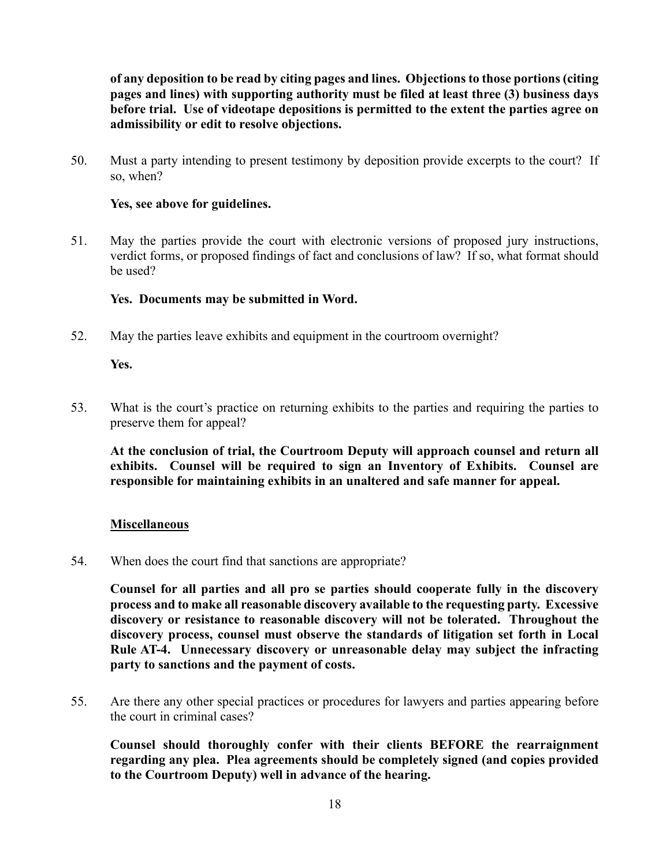**of any deposition to be read by citing pages and lines. Objections to those portions (citing pages and lines) with supporting authority must be filed at least three (3) business days before trial. Use of videotape depositions is permitted to the extent the parties agree on admissibility or edit to resolve objections.** 

50. Must a party intending to present testimony by deposition provide excerpts to the court? If so, when?

#### **Yes, see above for guidelines.**

51. May the parties provide the court with electronic versions of proposed jury instructions, verdict forms, or proposed findings of fact and conclusions of law? If so, what format should be used?

## **Yes. Documents may be submitted in Word.**

52. May the parties leave exhibits and equipment in the courtroom overnight?

**Yes.**

53. What is the court's practice on returning exhibits to the parties and requiring the parties to preserve them for appeal?

**At the conclusion of trial, the Courtroom Deputy will approach counsel and return all exhibits. Counsel will be required to sign an Inventory of Exhibits. Counsel are responsible for maintaining exhibits in an unaltered and safe manner for appeal.**

## **Miscellaneous**

54. When does the court find that sanctions are appropriate?

**Counsel for all parties and all pro se parties should cooperate fully in the discovery process and to make all reasonable discovery available to the requesting party. Excessive discovery or resistance to reasonable discovery will not be tolerated. Throughout the discovery process, counsel must observe the standards of litigation set forth in Local Rule AT-4. Unnecessary discovery or unreasonable delay may subject the infracting party to sanctions and the payment of costs.**

55. Are there any other special practices or procedures for lawyers and parties appearing before the court in criminal cases?

**Counsel should thoroughly confer with their clients BEFORE the rearraignment regarding any plea. Plea agreements should be completely signed (and copies provided to the Courtroom Deputy) well in advance of the hearing.**